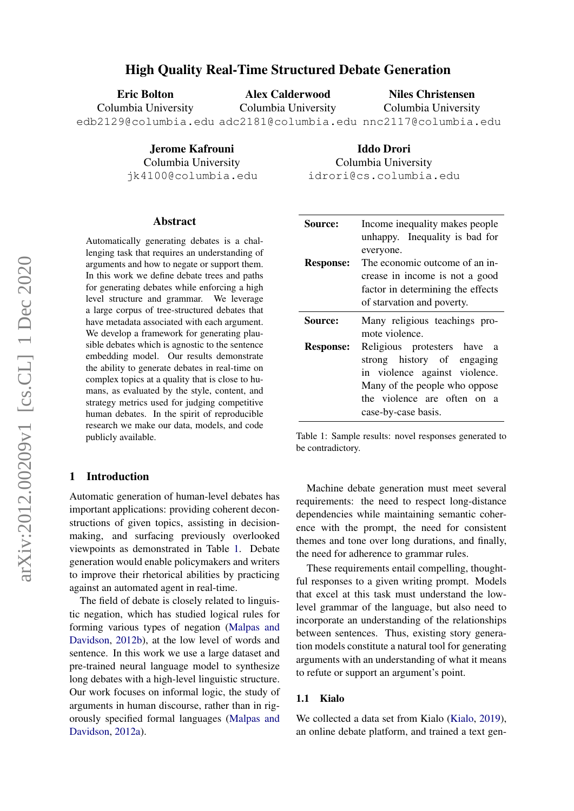# High Quality Real-Time Structured Debate Generation

Alex Calderwood

Niles Christensen

Columbia University

Iddo Drori Columbia University idrori@cs.columbia.edu

edb2129@columbia.edu adc2181@columbia.edu nnc2117@columbia.edu Columbia University

> Jerome Kafrouni Columbia University jk4100@columbia.edu

#### Abstract

Eric Bolton Columbia University

Automatically generating debates is a challenging task that requires an understanding of arguments and how to negate or support them. In this work we define debate trees and paths for generating debates while enforcing a high level structure and grammar. We leverage a large corpus of tree-structured debates that have metadata associated with each argument. We develop a framework for generating plausible debates which is agnostic to the sentence embedding model. Our results demonstrate the ability to generate debates in real-time on complex topics at a quality that is close to humans, as evaluated by the style, content, and strategy metrics used for judging competitive human debates. In the spirit of reproducible research we make our data, models, and code publicly available.

## 1 Introduction

Automatic generation of human-level debates has important applications: providing coherent deconstructions of given topics, assisting in decisionmaking, and surfacing previously overlooked viewpoints as demonstrated in Table [1.](#page-0-0) Debate generation would enable policymakers and writers to improve their rhetorical abilities by practicing against an automated agent in real-time.

The field of debate is closely related to linguistic negation, which has studied logical rules for forming various types of negation [\(Malpas and](#page-5-0) [Davidson,](#page-5-0) [2012b\)](#page-5-0), at the low level of words and sentence. In this work we use a large dataset and pre-trained neural language model to synthesize long debates with a high-level linguistic structure. Our work focuses on informal logic, the study of arguments in human discourse, rather than in rigorously specified formal languages [\(Malpas and](#page-5-1) [Davidson,](#page-5-1) [2012a\)](#page-5-1).

<span id="page-0-0"></span>

| <b>Source:</b>   | Income inequality makes people<br>unhappy. Inequality is bad for                                                                                                                                |  |
|------------------|-------------------------------------------------------------------------------------------------------------------------------------------------------------------------------------------------|--|
| <b>Response:</b> | everyone.<br>The economic outcome of an in-<br>crease in income is not a good<br>factor in determining the effects<br>of starvation and poverty.                                                |  |
| <b>Source:</b>   | Many religious teachings pro-<br>mote violence.                                                                                                                                                 |  |
| <b>Response:</b> | Religious protesters have<br><sub>a</sub><br>strong history of engaging<br>in violence against violence.<br>Many of the people who oppose<br>the violence are often on a<br>case-by-case basis. |  |

Table 1: Sample results: novel responses generated to be contradictory.

Machine debate generation must meet several requirements: the need to respect long-distance dependencies while maintaining semantic coherence with the prompt, the need for consistent themes and tone over long durations, and finally, the need for adherence to grammar rules.

These requirements entail compelling, thoughtful responses to a given writing prompt. Models that excel at this task must understand the lowlevel grammar of the language, but also need to incorporate an understanding of the relationships between sentences. Thus, existing story generation models constitute a natural tool for generating arguments with an understanding of what it means to refute or support an argument's point.

### 1.1 Kialo

We collected a data set from Kialo [\(Kialo,](#page-5-2) [2019\)](#page-5-2), an online debate platform, and trained a text gen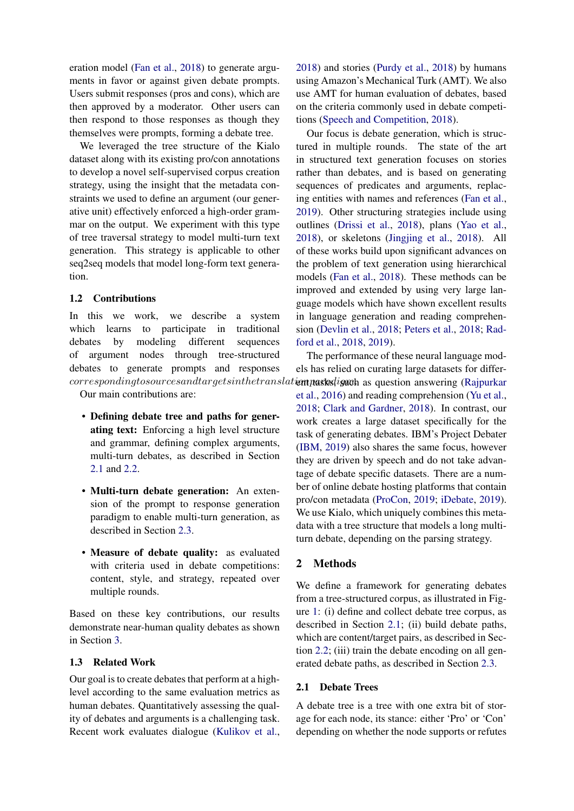eration model [\(Fan et al.,](#page-5-3) [2018\)](#page-5-3) to generate arguments in favor or against given debate prompts. Users submit responses (pros and cons), which are then approved by a moderator. Other users can then respond to those responses as though they themselves were prompts, forming a debate tree.

We leveraged the tree structure of the Kialo dataset along with its existing pro/con annotations to develop a novel self-supervised corpus creation strategy, using the insight that the metadata constraints we used to define an argument (our generative unit) effectively enforced a high-order grammar on the output. We experiment with this type of tree traversal strategy to model multi-turn text generation. This strategy is applicable to other seq2seq models that model long-form text generation.

### 1.2 Contributions

In this we work, we describe a system which learns to participate in traditional debates by modeling different sequences of argument nodes through tree-structured debates to generate prompts and responses

Our main contributions are:

- Defining debate tree and paths for generating text: Enforcing a high level structure and grammar, defining complex arguments, multi-turn debates, as described in Section [2.1](#page-1-0) and [2.2.](#page-2-0)
- Multi-turn debate generation: An extension of the prompt to response generation paradigm to enable multi-turn generation, as described in Section [2.3.](#page-3-0)
- Measure of debate quality: as evaluated with criteria used in debate competitions: content, style, and strategy, repeated over multiple rounds.

Based on these key contributions, our results demonstrate near-human quality debates as shown in Section [3.](#page-4-0)

## 1.3 Related Work

Our goal is to create debates that perform at a highlevel according to the same evaluation metrics as human debates. Quantitatively assessing the quality of debates and arguments is a challenging task. Recent work evaluates dialogue [\(Kulikov et al.,](#page-5-4)

[2018\)](#page-5-4) and stories [\(Purdy et al.,](#page-5-5) [2018\)](#page-5-5) by humans using Amazon's Mechanical Turk (AMT). We also use AMT for human evaluation of debates, based on the criteria commonly used in debate competitions [\(Speech and Competition,](#page-5-6) [2018\)](#page-5-6).

Our focus is debate generation, which is structured in multiple rounds. The state of the art in structured text generation focuses on stories rather than debates, and is based on generating sequences of predicates and arguments, replacing entities with names and references [\(Fan et al.,](#page-5-7) [2019\)](#page-5-7). Other structuring strategies include using outlines [\(Drissi et al.,](#page-5-8) [2018\)](#page-5-8), plans [\(Yao et al.,](#page-5-9) [2018\)](#page-5-9), or skeletons [\(Jingjing et al.,](#page-5-10) [2018\)](#page-5-10). All of these works build upon significant advances on the problem of text generation using hierarchical models [\(Fan et al.,](#page-5-3) [2018\)](#page-5-3). These methods can be improved and extended by using very large language models which have shown excellent results in language generation and reading comprehension [\(Devlin et al.,](#page-5-11) [2018;](#page-5-11) [Peters et al.,](#page-5-12) [2018;](#page-5-12) [Rad](#page-5-13)[ford et al.,](#page-5-13) [2018,](#page-5-13) [2019\)](#page-5-14).

correspondingtosourcesandtargetsinthetranslation paraks, ignath as question answering [\(Rajpurkar](#page-5-15) The performance of these neural language models has relied on curating large datasets for differ[et al.,](#page-5-15) [2016\)](#page-5-15) and reading comprehension [\(Yu et al.,](#page-5-16) [2018;](#page-5-16) [Clark and Gardner,](#page-5-17) [2018\)](#page-5-17). In contrast, our work creates a large dataset specifically for the task of generating debates. IBM's Project Debater [\(IBM,](#page-5-18) [2019\)](#page-5-18) also shares the same focus, however they are driven by speech and do not take advantage of debate specific datasets. There are a number of online debate hosting platforms that contain pro/con metadata [\(ProCon,](#page-5-19) [2019;](#page-5-19) [iDebate,](#page-5-20) [2019\)](#page-5-20). We use Kialo, which uniquely combines this metadata with a tree structure that models a long multiturn debate, depending on the parsing strategy.

## 2 Methods

We define a framework for generating debates from a tree-structured corpus, as illustrated in Figure [1:](#page-2-1) (i) define and collect debate tree corpus, as described in Section [2.1;](#page-1-0) (ii) build debate paths, which are content/target pairs, as described in Section [2.2;](#page-2-0) (iii) train the debate encoding on all generated debate paths, as described in Section [2.3.](#page-3-0)

### <span id="page-1-0"></span>2.1 Debate Trees

A debate tree is a tree with one extra bit of storage for each node, its stance: either 'Pro' or 'Con' depending on whether the node supports or refutes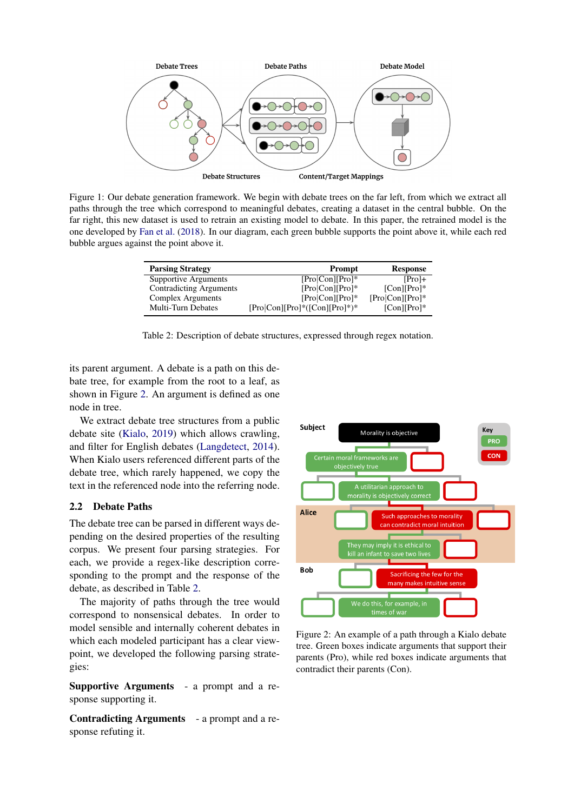<span id="page-2-1"></span>

<span id="page-2-3"></span>Figure 1: Our debate generation framework. We begin with debate trees on the far left, from which we extract all paths through the tree which correspond to meaningful debates, creating a dataset in the central bubble. On the far right, this new dataset is used to retrain an existing model to debate. In this paper, the retrained model is the one developed by [Fan et al.](#page-5-3) [\(2018\)](#page-5-3). In our diagram, each green bubble supports the point above it, while each red bubble argues against the point above it.

| <b>Parsing Strategy</b>        | <b>Prompt</b>                   | <b>Response</b>   |
|--------------------------------|---------------------------------|-------------------|
| Supportive Arguments           | $[Pro Con] Pro]*$               | $[Pro]+$          |
| <b>Contradicting Arguments</b> | $[Pro Con] Pro]*$               | $[Con][Pro]$ *    |
| <b>Complex Arguments</b>       | $[Pro Con] Pro]*$               | $[Pro Con][Pro]*$ |
| Multi-Turn Debates             | $[Pro Con [Pro]*([Con] Pro]*)*$ | $[Con][Pro]$ *    |

Table 2: Description of debate structures, expressed through regex notation.

its parent argument. A debate is a path on this debate tree, for example from the root to a leaf, as shown in Figure [2.](#page-2-2) An argument is defined as one node in tree.

We extract debate tree structures from a public debate site [\(Kialo,](#page-5-2) [2019\)](#page-5-2) which allows crawling, and filter for English debates [\(Langdetect,](#page-5-21) [2014\)](#page-5-21). When Kialo users referenced different parts of the debate tree, which rarely happened, we copy the text in the referenced node into the referring node.

## <span id="page-2-0"></span>2.2 Debate Paths

The debate tree can be parsed in different ways depending on the desired properties of the resulting corpus. We present four parsing strategies. For each, we provide a regex-like description corresponding to the prompt and the response of the debate, as described in Table [2.](#page-2-3)

The majority of paths through the tree would correspond to nonsensical debates. In order to model sensible and internally coherent debates in which each modeled participant has a clear viewpoint, we developed the following parsing strategies:

Supportive Arguments - a prompt and a response supporting it.

Contradicting Arguments - a prompt and a response refuting it.

<span id="page-2-2"></span>

Figure 2: An example of a path through a Kialo debate tree. Green boxes indicate arguments that support their parents (Pro), while red boxes indicate arguments that contradict their parents (Con).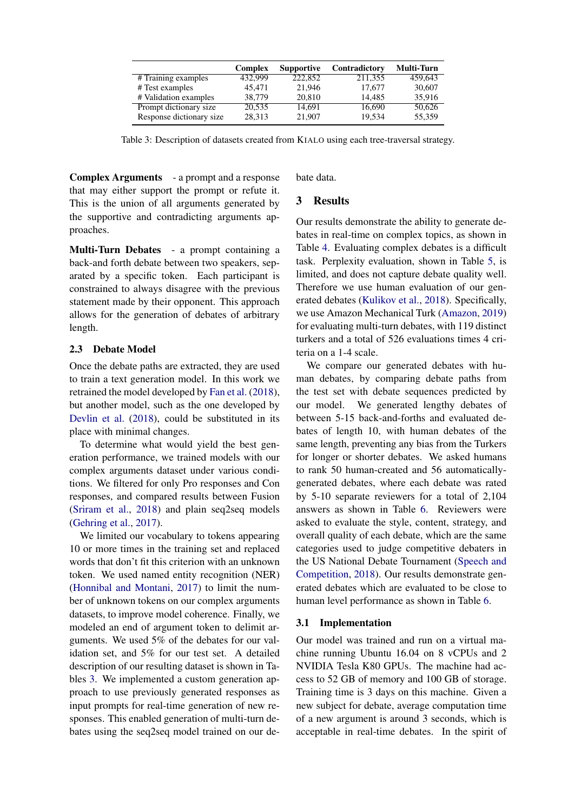<span id="page-3-1"></span>

|                          | Complex | <b>Supportive</b> | Contradictory | <b>Multi-Turn</b> |
|--------------------------|---------|-------------------|---------------|-------------------|
| # Training examples      | 432,999 | 222,852           | 211,355       | 459.643           |
| # Test examples          | 45.471  | 21,946            | 17.677        | 30,607            |
| # Validation examples    | 38.779  | 20,810            | 14.485        | 35,916            |
| Prompt dictionary size   | 20,535  | 14,691            | 16,690        | 50,626            |
| Response dictionary size | 28,313  | 21,907            | 19.534        | 55,359            |

Table 3: Description of datasets created from KIALO using each tree-traversal strategy.

Complex Arguments - a prompt and a response that may either support the prompt or refute it. This is the union of all arguments generated by the supportive and contradicting arguments approaches.

Multi-Turn Debates - a prompt containing a back-and forth debate between two speakers, separated by a specific token. Each participant is constrained to always disagree with the previous statement made by their opponent. This approach allows for the generation of debates of arbitrary length.

### <span id="page-3-0"></span>2.3 Debate Model

Once the debate paths are extracted, they are used to train a text generation model. In this work we retrained the model developed by [Fan et al.](#page-5-3) [\(2018\)](#page-5-3), but another model, such as the one developed by [Devlin et al.](#page-5-11) [\(2018\)](#page-5-11), could be substituted in its place with minimal changes.

To determine what would yield the best generation performance, we trained models with our complex arguments dataset under various conditions. We filtered for only Pro responses and Con responses, and compared results between Fusion [\(Sriram et al.,](#page-5-22) [2018\)](#page-5-22) and plain seq2seq models [\(Gehring et al.,](#page-5-23) [2017\)](#page-5-23).

We limited our vocabulary to tokens appearing 10 or more times in the training set and replaced words that don't fit this criterion with an unknown token. We used named entity recognition (NER) [\(Honnibal and Montani,](#page-5-24) [2017\)](#page-5-24) to limit the number of unknown tokens on our complex arguments datasets, to improve model coherence. Finally, we modeled an end of argument token to delimit arguments. We used 5% of the debates for our validation set, and 5% for our test set. A detailed description of our resulting dataset is shown in Tables [3.](#page-3-1) We implemented a custom generation approach to use previously generated responses as input prompts for real-time generation of new responses. This enabled generation of multi-turn debates using the seq2seq model trained on our debate data.

## 3 Results

Our results demonstrate the ability to generate debates in real-time on complex topics, as shown in Table [4.](#page-4-0) Evaluating complex debates is a difficult task. Perplexity evaluation, shown in Table [5,](#page-4-1) is limited, and does not capture debate quality well. Therefore we use human evaluation of our generated debates [\(Kulikov et al.,](#page-5-4) [2018\)](#page-5-4). Specifically, we use Amazon Mechanical Turk [\(Amazon,](#page-5-25) [2019\)](#page-5-25) for evaluating multi-turn debates, with 119 distinct turkers and a total of 526 evaluations times 4 criteria on a 1-4 scale.

We compare our generated debates with human debates, by comparing debate paths from the test set with debate sequences predicted by our model. We generated lengthy debates of between 5-15 back-and-forths and evaluated debates of length 10, with human debates of the same length, preventing any bias from the Turkers for longer or shorter debates. We asked humans to rank 50 human-created and 56 automaticallygenerated debates, where each debate was rated by 5-10 separate reviewers for a total of 2,104 answers as shown in Table [6.](#page-4-2) Reviewers were asked to evaluate the style, content, strategy, and overall quality of each debate, which are the same categories used to judge competitive debaters in the US National Debate Tournament [\(Speech and](#page-5-6) [Competition,](#page-5-6) [2018\)](#page-5-6). Our results demonstrate generated debates which are evaluated to be close to human level performance as shown in Table [6.](#page-4-2)

#### 3.1 Implementation

Our model was trained and run on a virtual machine running Ubuntu 16.04 on 8 vCPUs and 2 NVIDIA Tesla K80 GPUs. The machine had access to 52 GB of memory and 100 GB of storage. Training time is 3 days on this machine. Given a new subject for debate, average computation time of a new argument is around 3 seconds, which is acceptable in real-time debates. In the spirit of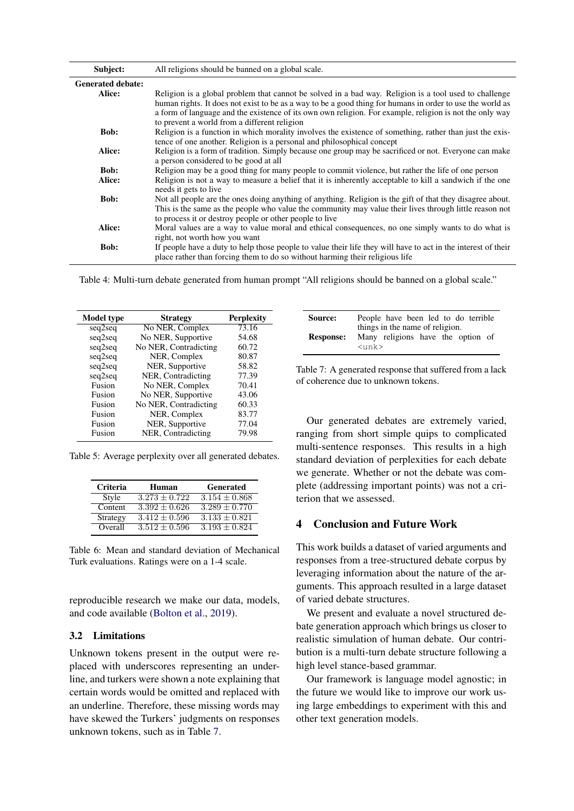<span id="page-4-0"></span>

| Subject:                 | All religions should be banned on a global scale.                                                                                                                                  |
|--------------------------|------------------------------------------------------------------------------------------------------------------------------------------------------------------------------------|
| <b>Generated debate:</b> |                                                                                                                                                                                    |
| Alice:                   | Religion is a global problem that cannot be solved in a bad way. Religion is a tool used to challenge                                                                              |
|                          | human rights. It does not exist to be as a way to be a good thing for humans in order to use the world as                                                                          |
|                          | a form of language and the existence of its own own religion. For example, religion is not the only way                                                                            |
| <b>Bob:</b>              | to prevent a world from a different religion                                                                                                                                       |
|                          | Religion is a function in which morality involves the existence of something, rather than just the exis-<br>tence of one another. Religion is a personal and philosophical concept |
| Alice:                   | Religion is a form of tradition. Simply because one group may be sacrificed or not. Everyone can make                                                                              |
|                          | a person considered to be good at all                                                                                                                                              |
| <b>Bob:</b>              | Religion may be a good thing for many people to commit violence, but rather the life of one person                                                                                 |
| Alice:                   | Religion is not a way to measure a belief that it is inherently acceptable to kill a sandwich if the one                                                                           |
|                          | needs it gets to live                                                                                                                                                              |
| <b>Bob:</b>              | Not all people are the ones doing anything of anything. Religion is the gift of that they disagree about.                                                                          |
|                          | This is the same as the people who value the community may value their lives through little reason not                                                                             |
|                          | to process it or destroy people or other people to live                                                                                                                            |
| Alice:                   | Moral values are a way to value moral and ethical consequences, no one simply wants to do what is                                                                                  |
|                          | right, not worth how you want                                                                                                                                                      |
| <b>Bob:</b>              | If people have a duty to help those people to value their life they will have to act in the interest of their                                                                      |
|                          | place rather than forcing them to do so without harming their religious life                                                                                                       |

Table 4: Multi-turn debate generated from human prompt "All religions should be banned on a global scale."

<span id="page-4-1"></span>

| <b>Model</b> type | <b>Strategy</b>       | <b>Perplexity</b> |
|-------------------|-----------------------|-------------------|
| seq2seq           | No NER, Complex       | 73.16             |
| seq2seq           | No NER, Supportive    | 54.68             |
| seq2seq           | No NER, Contradicting | 60.72             |
| seq2seq           | NER, Complex          | 80.87             |
| seq2seq           | NER, Supportive       | 58.82             |
| seq2seq           | NER, Contradicting    | 77.39             |
| Fusion            | No NER, Complex       | 70.41             |
| Fusion            | No NER, Supportive    | 43.06             |
| Fusion            | No NER, Contradicting | 60.33             |
| Fusion            | NER, Complex          | 83.77             |
| Fusion            | NER, Supportive       | 77.04             |
| Fusion            | NER, Contradicting    | 79.98             |

<span id="page-4-2"></span>Table 5: Average perplexity over all generated debates.

| Criteria | Human             | <b>Generated</b>  |
|----------|-------------------|-------------------|
| Style    | $3.273 + 0.722$   | $3.154 \pm 0.868$ |
| Content  | $3.392 \pm 0.626$ | $3.289 + 0.770$   |
| Strategy | $3.412 \pm 0.596$ | $3.133 + 0.821$   |
| Overall  | $3.512 + 0.596$   | $3.193 + 0.824$   |

Table 6: Mean and standard deviation of Mechanical Turk evaluations. Ratings were on a 1-4 scale.

reproducible research we make our data, models, and code available [\(Bolton et al.,](#page-5-26) [2019\)](#page-5-26).

#### 3.2 Limitations

Unknown tokens present in the output were replaced with underscores representing an underline, and turkers were shown a note explaining that certain words would be omitted and replaced with an underline. Therefore, these missing words may have skewed the Turkers' judgments on responses unknown tokens, such as in Table [7.](#page-4-3)

<span id="page-4-3"></span>

| Source:          | People have been led to do terrible                                                             |  |
|------------------|-------------------------------------------------------------------------------------------------|--|
| <b>Response:</b> | things in the name of religion.<br>Many religions have the option of<br>$\langle$ unk $\rangle$ |  |

Table 7: A generated response that suffered from a lack of coherence due to unknown tokens.

Our generated debates are extremely varied, ranging from short simple quips to complicated multi-sentence responses. This results in a high standard deviation of perplexities for each debate we generate. Whether or not the debate was complete (addressing important points) was not a criterion that we assessed.

## 4 Conclusion and Future Work

This work builds a dataset of varied arguments and responses from a tree-structured debate corpus by leveraging information about the nature of the arguments. This approach resulted in a large dataset of varied debate structures.

We present and evaluate a novel structured debate generation approach which brings us closer to realistic simulation of human debate. Our contribution is a multi-turn debate structure following a high level stance-based grammar.

Our framework is language model agnostic; in the future we would like to improve our work using large embeddings to experiment with this and other text generation models.